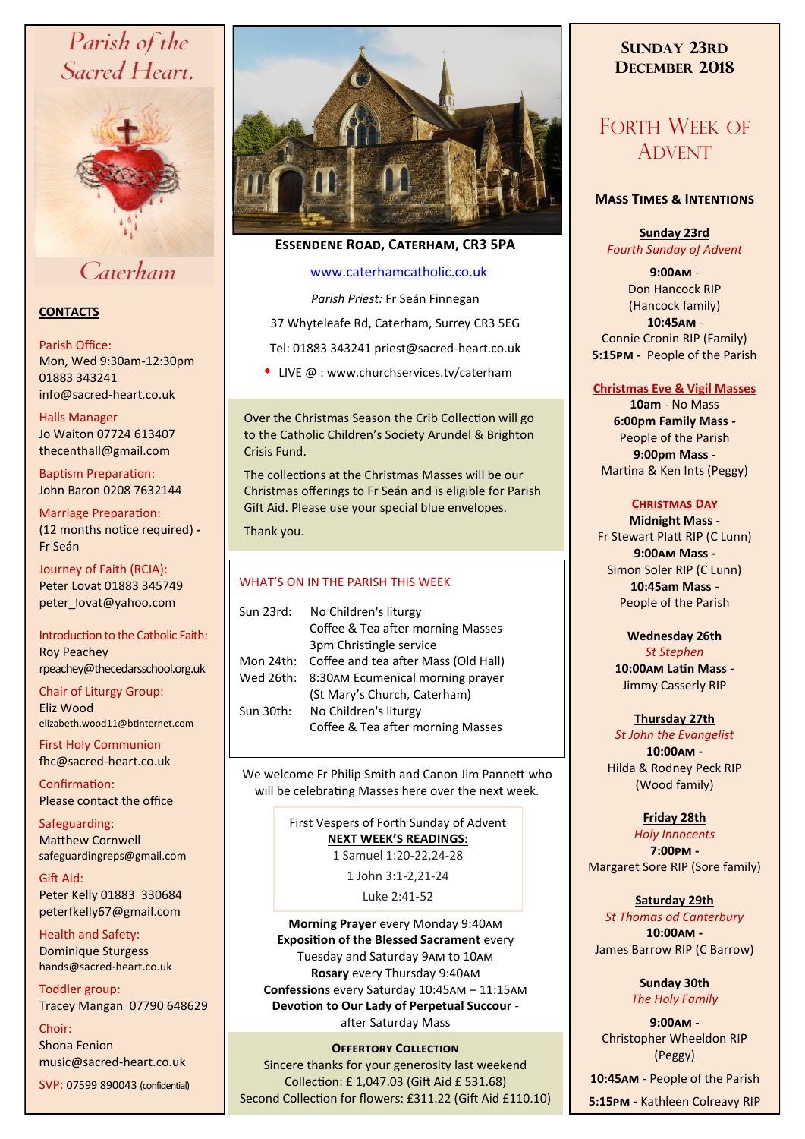# Parish of the Sacred Heart,



# Caterham

## **CONTACTS**

#### Parish Office:

Mon, Wed 9:30am-12:30pm 01883 343241 info@sacred-heart.co.uk .

### Halls Manager

Jo Waiton 07724 613407 thecenthall@gmail.com

Baptism Preparation: John Baron 0208 7632144

# Marriage Preparation:

(12 months notice required) **-** Fr Seán

Journey of Faith (RCIA): Peter Lovat 01883 345749 peter\_lovat@yahoo.com

### Introduction to the Catholic Faith: Roy Peachey rpeachey@thecedarsschool.org.uk

Chair of Liturgy Group: Eliz Wood elizabeth.wood11@btinternet.com

First Holy Communion fhc@sacred-heart.co.uk

Confirmation: Please contact the office

Safeguarding: Matthew Cornwell safeguardingreps@gmail.com

Gift Aid: Peter Kelly 01883 330684 peterfkelly67@gmail.com

Health and Safety: Dominique Sturgess hands@sacred-heart.co.uk

Toddler group: Tracey Mangan 07790 648629

Choir: Shona Fenion music@sacred-heart.co.uk

SVP: 07599 890043 (confidential)



## **Essendene Road, Caterham, CR3 5PA**

## [www.caterhamcatholic.co.uk](http://Www.caterhamcatholic.co.uk)

*Parish Priest:* Fr Seán Finnegan

37 Whyteleafe Rd, Caterham, Surrey CR3 5EG

Tel: 01883 343241 priest@sacred-heart.co.uk

• LIVE  $@:www.churchservices.tv/caterham$ 

Over the Christmas Season the Crib Collection will go to the Catholic Children's Society Arundel & Brighton Crisis Fund.

The collections at the Christmas Masses will be our Christmas offerings to Fr Seán and is eligible for Parish Gift Aid. Please use your special blue envelopes.

Thank you.

## WHAT'S ON IN THE PARISH THIS WEEK.

We welcome Fr Philip Smith and Canon Jim Pannett who will be celebrating Masses here over the next week.

> First Vespers of Forth Sunday of Advent **NEXT WEEK'S READINGS:**  1 Samuel 1:20-22,24-28

> > 1 John 3:1-2,21-24 Luke 2:41-52

**Morning Prayer** every Monday 9:40am **Exposition of the Blessed Sacrament** every Tuesday and Saturday 9am to 10am **Rosary** every Thursday 9:40am **Confession**s every Saturday 10:45am – 11:15am **Devotion to Our Lady of Perpetual Succour**  after Saturday Mass

## **Offertory Collection**

Sincere thanks for your generosity last weekend Collection: £ 1,047.03 (Gift Aid £ 531.68) Second Collection for flowers: £311.22 (Gift Aid £110.10)

## **SUNDAY 23RD DECEMBER 2018**

# FORTH WEEK OF ADVENT

## **Mass Times & Intentions**

**Sunday 23rd** *Fourth Sunday of Advent*

**9:00am** - Don Hancock RIP (Hancock family) .**10:45am** - Connie Cronin RIP (Family) **5:15pm -** People of the Parish

## **Christmas Eve & Vigil Masses**

**10am** - No Mass **6:00pm Family Mass -** People of the Parish **9:00pm Mass** - Martina & Ken Ints (Peggy)

### **Christmas Day**

**Midnight Mass** - Fr Stewart Platt RIP (C Lunn) **9:00am Mass -** Simon Soler RIP (C Lunn) **10:45am Mass -** People of the Parish

## **Wednesday 26th**

*St Stephen* **10:00am Latin Mass -** Jimmy Casserly RIP

## **Thursday 27th**

*St John the Evangelist* **10:00am -** Hilda & Rodney Peck RIP (Wood family)

## **Friday 28th**

*Holy Innocents*  **7:00pm -** Margaret Sore RIP (Sore family)

## **Saturday 29th**

*St Thomas od Canterbury* **10:00am -**  James Barrow RIP (C Barrow)

> **Sunday 30th** *The Holy Family*

**9:00am** - Christopher Wheeldon RIP (Peggy)

.**10:45am** - People of the Parish

**5:15pm -** Kathleen Colreavy RIP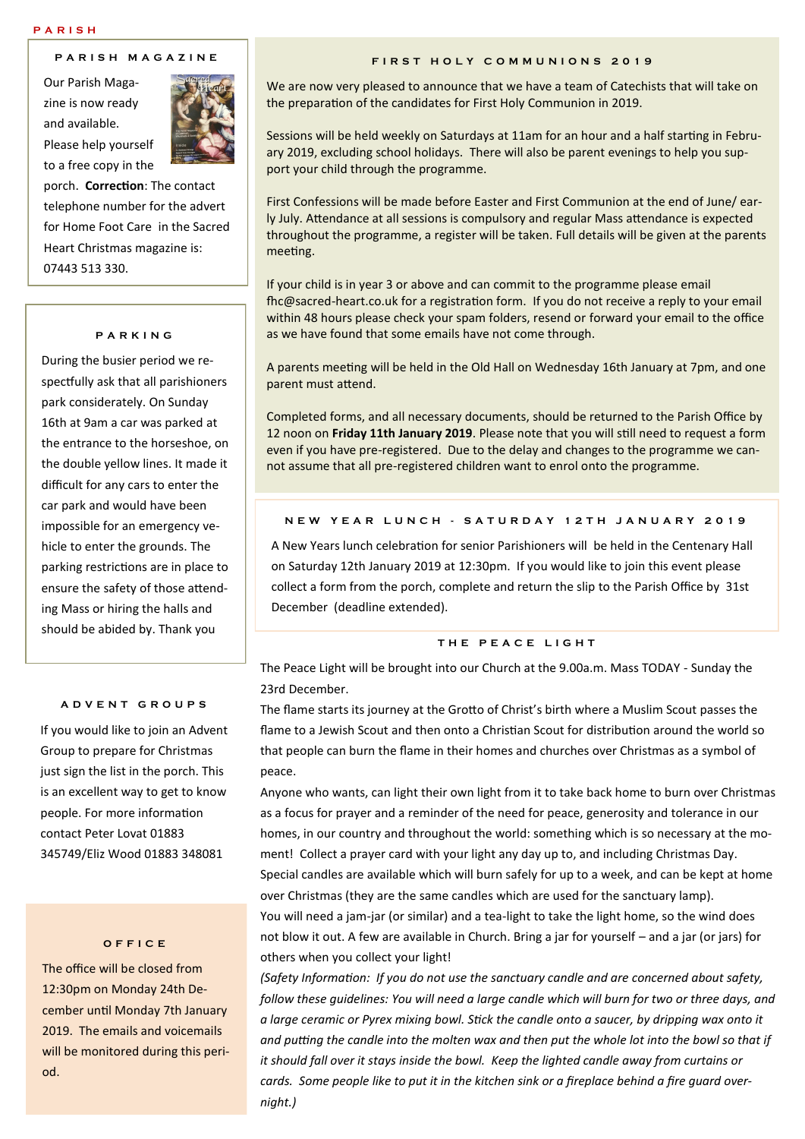#### **P A R I S H M A G A Z I N E**

Our Parish Magazine is now ready and available. Please help yourself to a free copy in the



porch. **Correction**: The contact telephone number for the advert for Home Foot Care in the Sacred Heart Christmas magazine is: 07443 513 330.

#### **P A R K I N G**

During the busier period we respectfully ask that all parishioners park considerately. On Sunday 16th at 9am a car was parked at the entrance to the horseshoe, on the double yellow lines. It made it difficult for any cars to enter the car park and would have been impossible for an emergency vehicle to enter the grounds. The parking restrictions are in place to ensure the safety of those attending Mass or hiring the halls and should be abided by. Thank you

#### **A D V E N T G R O U P S**

If you would like to join an Advent Group to prepare for Christmas just sign the list in the porch. This is an excellent way to get to know people. For more information contact Peter Lovat 01883 345749/Eliz Wood 01883 348081

#### **O F F I C E**

The office will be closed from 12:30pm on Monday 24th December until Monday 7th January 2019. The emails and voicemails will be monitored during this period.

#### **F I R S T H O L Y C O M M U N I O N S 2 0 1 9**

We are now very pleased to announce that we have a team of Catechists that will take on the preparation of the candidates for First Holy Communion in 2019.

Sessions will be held weekly on Saturdays at 11am for an hour and a half starting in February 2019, excluding school holidays. There will also be parent evenings to help you support your child through the programme.

First Confessions will be made before Easter and First Communion at the end of June/ early July. Attendance at all sessions is compulsory and regular Mass attendance is expected throughout the programme, a register will be taken. Full details will be given at the parents meeting.

If your child is in year 3 or above and can commit to the programme please email fhc@sacred-heart.co.uk for a registration form. If you do not receive a reply to your email within 48 hours please check your spam folders, resend or forward your email to the office as we have found that some emails have not come through.

A parents meeting will be held in the Old Hall on Wednesday 16th January at 7pm, and one parent must attend.

Completed forms, and all necessary documents, should be returned to the Parish Office by 12 noon on **Friday 11th January 2019**. Please note that you will still need to request a form even if you have pre-registered. Due to the delay and changes to the programme we cannot assume that all pre-registered children want to enrol onto the programme.

#### **N E W Y E A R L U N C H - S A T U R D A Y 1 2 T H J A N U A R Y 2 0 1 9**

A New Years lunch celebration for senior Parishioners will be held in the Centenary Hall on Saturday 12th January 2019 at 12:30pm. If you would like to join this event please collect a form from the porch, complete and return the slip to the Parish Office by 31st December (deadline extended).

### **T H E P E A C E L I G H T**

The Peace Light will be brought into our Church at the 9.00a.m. Mass TODAY - Sunday the 23rd December.

The flame starts its journey at the Grotto of Christ's birth where a Muslim Scout passes the flame to a Jewish Scout and then onto a Christian Scout for distribution around the world so that people can burn the flame in their homes and churches over Christmas as a symbol of peace.

Anyone who wants, can light their own light from it to take back home to burn over Christmas as a focus for prayer and a reminder of the need for peace, generosity and tolerance in our homes, in our country and throughout the world: something which is so necessary at the moment! Collect a prayer card with your light any day up to, and including Christmas Day. Special candles are available which will burn safely for up to a week, and can be kept at home over Christmas (they are the same candles which are used for the sanctuary lamp). You will need a jam-jar (or similar) and a tea-light to take the light home, so the wind does

not blow it out. A few are available in Church. Bring a jar for yourself – and a jar (or jars) for others when you collect your light!

*(Safety Information: If you do not use the sanctuary candle and are concerned about safety, follow these guidelines: You will need a large candle which will burn for two or three days, and a large ceramic or Pyrex mixing bowl. Stick the candle onto a saucer, by dripping wax onto it and putting the candle into the molten wax and then put the whole lot into the bowl so that if it should fall over it stays inside the bowl. Keep the lighted candle away from curtains or cards. Some people like to put it in the kitchen sink or a fireplace behind a fire guard overnight.)*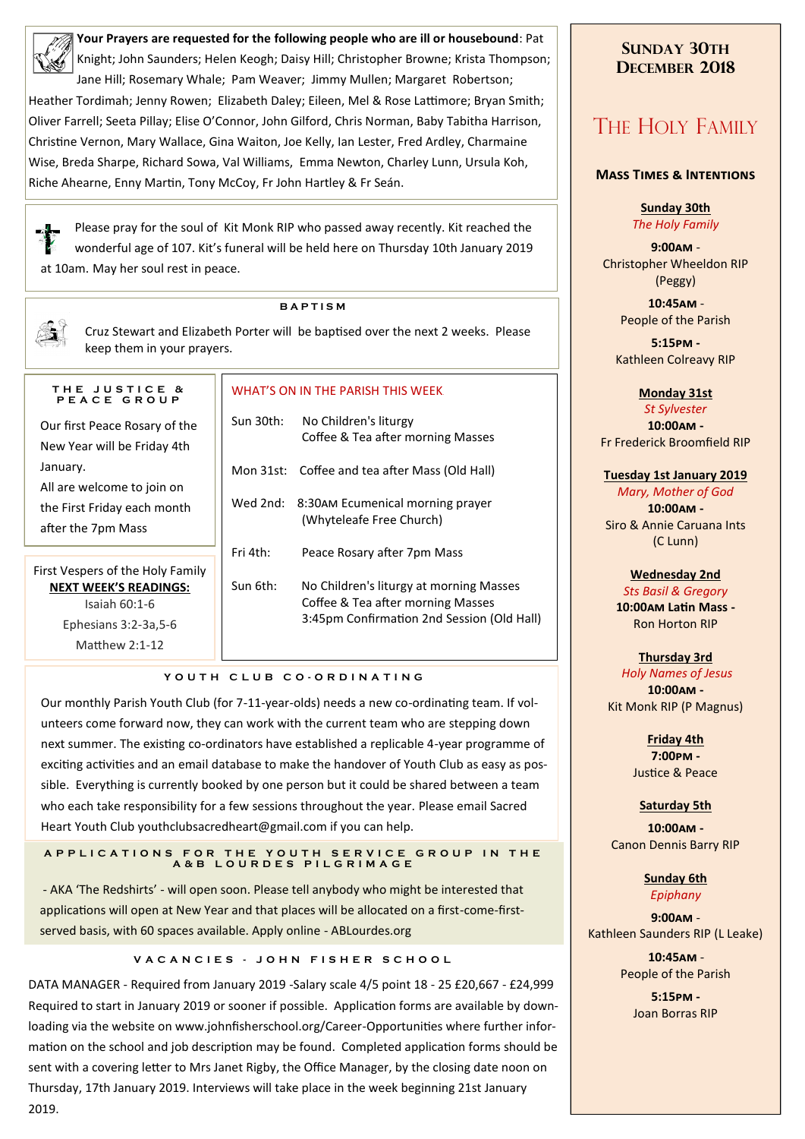**Your Prayers are requested for the following people who are ill or housebound**: Pat Knight; John Saunders; Helen Keogh; Daisy Hill; Christopher Browne; Krista Thompson;

Jane Hill; Rosemary Whale; Pam Weaver; Jimmy Mullen; Margaret Robertson; Heather Tordimah; Jenny Rowen; Elizabeth Daley; Eileen, Mel & Rose Lattimore; Bryan Smith; Oliver Farrell; Seeta Pillay; Elise O'Connor, John Gilford, Chris Norman, Baby Tabitha Harrison, Christine Vernon, Mary Wallace, Gina Waiton, Joe Kelly, Ian Lester, Fred Ardley, Charmaine Wise, Breda Sharpe, Richard Sowa, Val Williams, Emma Newton, Charley Lunn, Ursula Koh, Riche Ahearne, Enny Martin, Tony McCoy, Fr John Hartley & Fr Seán.

Please pray for the soul of Kit Monk RIP who passed away recently. Kit reached the wonderful age of 107. Kit's funeral will be held here on Thursday 10th January 2019 at 10am. May her soul rest in peace.

#### **B A P T I S M**

Cruz Stewart and Elizabeth Porter will be baptised over the next 2 weeks. Please keep them in your prayers.

| PEACE GROUP                      |  |  |  |  |
|----------------------------------|--|--|--|--|
| Our first Peace Rosary of the    |  |  |  |  |
| New Year will be Friday 4th      |  |  |  |  |
| January.                         |  |  |  |  |
| All are welcome to join on       |  |  |  |  |
| the First Friday each month      |  |  |  |  |
| after the 7pm Mass               |  |  |  |  |
|                                  |  |  |  |  |
| First Vespers of the Holy Family |  |  |  |  |

**T H E J U S T I C E &** 

**NEXT WEEK'S READINGS:**  Isaiah 60:1-6 Ephesians 3:2-3a,5-6 Matthew 2:1-12

# WHAT'S ON IN THE PARISH THIS WEEK.

| Sun 30th: | No Children's liturgy<br>Coffee & Tea after morning Masses                                                                 |
|-----------|----------------------------------------------------------------------------------------------------------------------------|
|           | Mon 31st: Coffee and tea after Mass (Old Hall)                                                                             |
|           | Wed 2nd: 8:30AM Ecumenical morning prayer<br>(Whyteleafe Free Church)                                                      |
| Fri 4th:  | Peace Rosary after 7pm Mass                                                                                                |
| Sun 6th:  | No Children's liturgy at morning Masses<br>Coffee & Tea after morning Masses<br>3:45pm Confirmation 2nd Session (Old Hall) |

#### **Y O U T H C L U B C O - O R D I N A T I N G**

Our monthly Parish Youth Club (for 7-11-year-olds) needs a new co-ordinating team. If volunteers come forward now, they can work with the current team who are stepping down next summer. The existing co-ordinators have established a replicable 4-year programme of exciting activities and an email database to make the handover of Youth Club as easy as possible. Everything is currently booked by one person but it could be shared between a team who each take responsibility for a few sessions throughout the year. Please email Sacred Heart Youth Club youthclubsacredheart@gmail.com if you can help.

#### **A P P L I C A T I O N S F OR THE YOUTH SERVICE GROUP IN THE A & B L O U R D E S P I L G R I M A G E**

- AKA 'The Redshirts' - will open soon. Please tell anybody who might be interested that applications will open at New Year and that places will be allocated on a first-come-firstserved basis, with 60 spaces available. Apply online - ABLourdes.org

#### **VACANCIES - JOHN FISHER SCHOOL**

DATA MANAGER - Required from January 2019 -Salary scale 4/5 point 18 - 25 £20,667 - £24,999 Required to start in January 2019 or sooner if possible. Application forms are available by downloading via the website on www.johnfisherschool.org/Career-Opportunities where further information on the school and job description may be found. Completed application forms should be sent with a covering letter to Mrs Janet Rigby, the Office Manager, by the closing date noon on Thursday, 17th January 2019. Interviews will take place in the week beginning 21st January 2019.

## **SUNDAY 30TH DECEMBER 2018**

# THE HOLY FAMILY

#### **Mass Times & Intentions**

**Sunday 30th** *The Holy Family*

**9:00am** - Christopher Wheeldon RIP (Peggy)

> .**10:45am** - People of the Parish

**5:15pm -** Kathleen Colreavy RIP

#### **Monday 31st**

*St Sylvester* **10:00am -** Fr Frederick Broomfield RIP

#### **Tuesday 1st January 2019**

*Mary, Mother of God* **10:00am -** Siro & Annie Caruana Ints (C Lunn)

#### **Wednesday 2nd**

*Sts Basil & Gregory* **10:00am Latin Mass -** Ron Horton RIP

#### **Thursday 3rd**

*Holy Names of Jesus* **10:00am -** Kit Monk RIP (P Magnus)

> **Friday 4th 7:00pm -** Justice & Peace

#### **Saturday 5th**

**10:00am -**  Canon Dennis Barry RIP

> **Sunday 6th** *Epiphany*

**9:00am** - Kathleen Saunders RIP (L Leake)

> .**10:45am** - People of the Parish

> > **5:15pm -** Joan Borras RIP